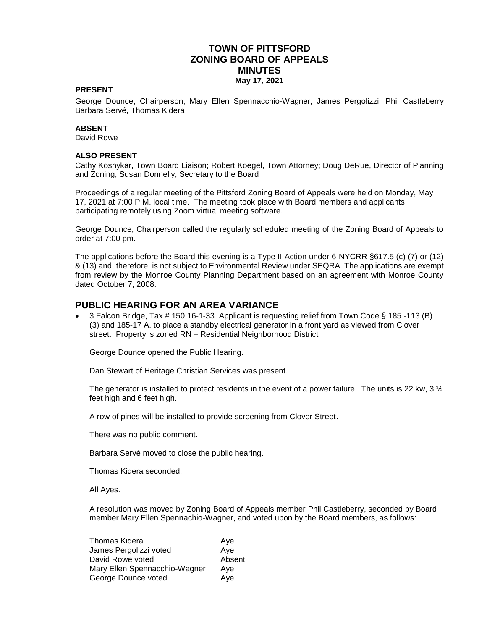## **TOWN OF PITTSFORD ZONING BOARD OF APPEALS MINUTES May 17, 2021**

#### **PRESENT**

George Dounce, Chairperson; Mary Ellen Spennacchio-Wagner, James Pergolizzi, Phil Castleberry Barbara Servé, Thomas Kidera

#### **ABSENT**

David Rowe

#### **ALSO PRESENT**

Cathy Koshykar, Town Board Liaison; Robert Koegel, Town Attorney; Doug DeRue, Director of Planning and Zoning; Susan Donnelly, Secretary to the Board

Proceedings of a regular meeting of the Pittsford Zoning Board of Appeals were held on Monday, May 17, 2021 at 7:00 P.M. local time. The meeting took place with Board members and applicants participating remotely using Zoom virtual meeting software.

George Dounce, Chairperson called the regularly scheduled meeting of the Zoning Board of Appeals to order at 7:00 pm.

The applications before the Board this evening is a Type II Action under 6-NYCRR §617.5 (c) (7) or (12) & (13) and, therefore, is not subject to Environmental Review under SEQRA. The applications are exempt from review by the Monroe County Planning Department based on an agreement with Monroe County dated October 7, 2008.

#### **PUBLIC HEARING FOR AN AREA VARIANCE**

 3 Falcon Bridge, Tax # 150.16-1-33. Applicant is requesting relief from Town Code § 185 -113 (B) (3) and 185-17 A. to place a standby electrical generator in a front yard as viewed from Clover street. Property is zoned RN – Residential Neighborhood District

George Dounce opened the Public Hearing.

Dan Stewart of Heritage Christian Services was present.

The generator is installed to protect residents in the event of a power failure. The units is 22 kw, 3  $\frac{1}{2}$ feet high and 6 feet high.

A row of pines will be installed to provide screening from Clover Street.

There was no public comment.

Barbara Servé moved to close the public hearing.

Thomas Kidera seconded.

All Ayes.

A resolution was moved by Zoning Board of Appeals member Phil Castleberry, seconded by Board member Mary Ellen Spennachio-Wagner, and voted upon by the Board members, as follows:

| Ave    |
|--------|
| Aye    |
| Absent |
| Ave    |
| Ave    |
|        |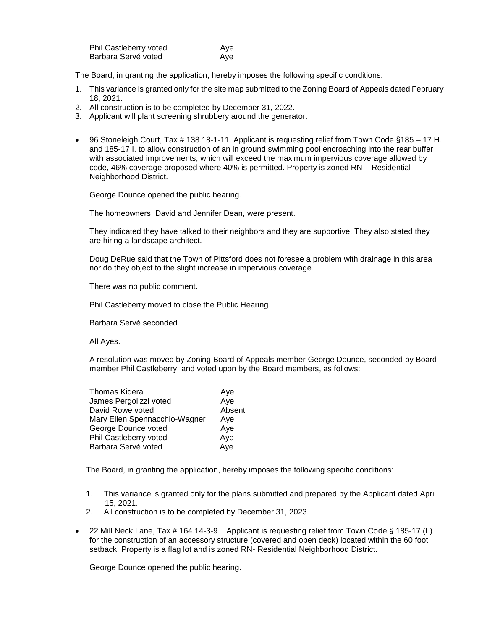| Phil Castleberry voted | Ave |
|------------------------|-----|
| Barbara Servé voted    | Ave |

The Board, in granting the application, hereby imposes the following specific conditions:

- 1. This variance is granted only for the site map submitted to the Zoning Board of Appeals dated February 18, 2021.
- 2. All construction is to be completed by December 31, 2022.
- 3. Applicant will plant screening shrubbery around the generator.
- 96 Stoneleigh Court, Tax # 138.18-1-11. Applicant is requesting relief from Town Code §185 17 H. and 185-17 I. to allow construction of an in ground swimming pool encroaching into the rear buffer with associated improvements, which will exceed the maximum impervious coverage allowed by code, 46% coverage proposed where 40% is permitted. Property is zoned RN – Residential Neighborhood District.

George Dounce opened the public hearing.

The homeowners, David and Jennifer Dean, were present.

They indicated they have talked to their neighbors and they are supportive. They also stated they are hiring a landscape architect.

Doug DeRue said that the Town of Pittsford does not foresee a problem with drainage in this area nor do they object to the slight increase in impervious coverage.

There was no public comment.

Phil Castleberry moved to close the Public Hearing.

Barbara Servé seconded.

All Ayes.

A resolution was moved by Zoning Board of Appeals member George Dounce, seconded by Board member Phil Castleberry, and voted upon by the Board members, as follows:

| <b>Thomas Kidera</b>          | Aye    |
|-------------------------------|--------|
| James Pergolizzi voted        | Aye    |
| David Rowe voted              | Absent |
| Mary Ellen Spennacchio-Wagner | Aye    |
| George Dounce voted           | Aye    |
| Phil Castleberry voted        | Aye    |
| Barbara Servé voted           | Aye    |

The Board, in granting the application, hereby imposes the following specific conditions:

- 1. This variance is granted only for the plans submitted and prepared by the Applicant dated April 15, 2021.
- 2. All construction is to be completed by December 31, 2023.
- 22 Mill Neck Lane, Tax # 164.14-3-9. Applicant is requesting relief from Town Code § 185-17 (L) for the construction of an accessory structure (covered and open deck) located within the 60 foot setback. Property is a flag lot and is zoned RN- Residential Neighborhood District.

George Dounce opened the public hearing.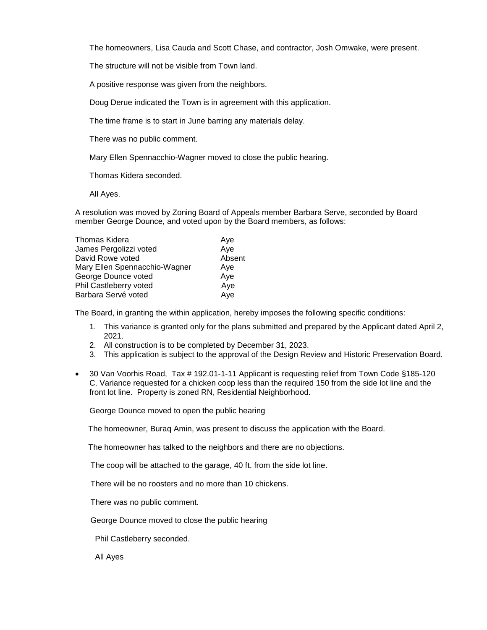The homeowners, Lisa Cauda and Scott Chase, and contractor, Josh Omwake, were present.

The structure will not be visible from Town land.

A positive response was given from the neighbors.

Doug Derue indicated the Town is in agreement with this application.

The time frame is to start in June barring any materials delay.

There was no public comment.

Mary Ellen Spennacchio-Wagner moved to close the public hearing.

Thomas Kidera seconded.

All Ayes.

A resolution was moved by Zoning Board of Appeals member Barbara Serve, seconded by Board member George Dounce, and voted upon by the Board members, as follows:

| Thomas Kidera                 | Aye    |
|-------------------------------|--------|
| James Pergolizzi voted        | Aye    |
| David Rowe voted              | Absent |
| Mary Ellen Spennacchio-Wagner | Aye    |
| George Dounce voted           | Aye    |
| Phil Castleberry voted        | Aye    |
| Barbara Servé voted           | Aye    |

The Board, in granting the within application, hereby imposes the following specific conditions:

- 1. This variance is granted only for the plans submitted and prepared by the Applicant dated April 2, 2021.
- 2. All construction is to be completed by December 31, 2023.
- 3. This application is subject to the approval of the Design Review and Historic Preservation Board.
- 30 Van Voorhis Road, Tax # 192.01-1-11 Applicant is requesting relief from Town Code §185-120 C. Variance requested for a chicken coop less than the required 150 from the side lot line and the front lot line. Property is zoned RN, Residential Neighborhood.

George Dounce moved to open the public hearing

The homeowner, Buraq Amin, was present to discuss the application with the Board.

The homeowner has talked to the neighbors and there are no objections.

The coop will be attached to the garage, 40 ft. from the side lot line.

There will be no roosters and no more than 10 chickens.

There was no public comment.

George Dounce moved to close the public hearing

Phil Castleberry seconded.

All Ayes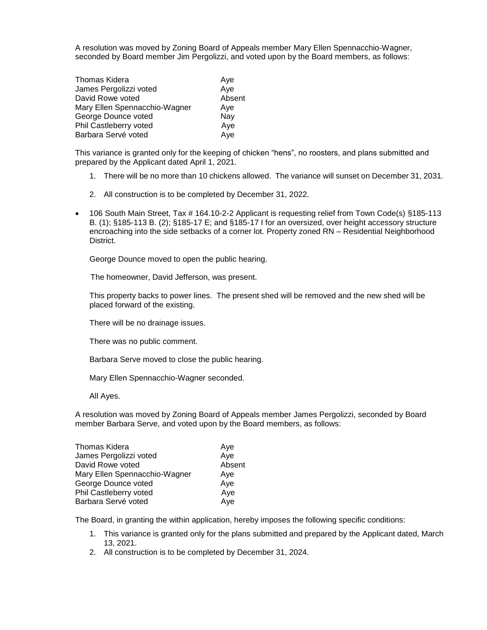A resolution was moved by Zoning Board of Appeals member Mary Ellen Spennacchio-Wagner, seconded by Board member Jim Pergolizzi, and voted upon by the Board members, as follows:

| Thomas Kidera                 | Ave    |
|-------------------------------|--------|
| James Pergolizzi voted        | Aye    |
| David Rowe voted              | Absent |
| Mary Ellen Spennacchio-Wagner | Ave    |
| George Dounce voted           | Nay    |
| Phil Castleberry voted        | Aye    |
| Barbara Servé voted           | Aye    |

This variance is granted only for the keeping of chicken "hens", no roosters, and plans submitted and prepared by the Applicant dated April 1, 2021.

- 1. There will be no more than 10 chickens allowed. The variance will sunset on December 31, 2031.
- 2. All construction is to be completed by December 31, 2022.
- 106 South Main Street, Tax # 164.10-2-2 Applicant is requesting relief from Town Code(s) §185-113 B. (1); §185-113 B. (2); §185-17 E; and §185-17 I for an oversized, over height accessory structure encroaching into the side setbacks of a corner lot. Property zoned RN – Residential Neighborhood District.

George Dounce moved to open the public hearing.

The homeowner, David Jefferson, was present.

This property backs to power lines. The present shed will be removed and the new shed will be placed forward of the existing.

There will be no drainage issues.

There was no public comment.

Barbara Serve moved to close the public hearing.

Mary Ellen Spennacchio-Wagner seconded.

All Ayes.

A resolution was moved by Zoning Board of Appeals member James Pergolizzi, seconded by Board member Barbara Serve, and voted upon by the Board members, as follows:

| <b>Thomas Kidera</b>          | Ave    |
|-------------------------------|--------|
| James Pergolizzi voted        | Aye    |
| David Rowe voted              | Absent |
| Mary Ellen Spennacchio-Wagner | Aye    |
| George Dounce voted           | Aye    |
| Phil Castleberry voted        | Aye    |
| Barbara Servé voted           | Aye    |

The Board, in granting the within application, hereby imposes the following specific conditions:

- 1. This variance is granted only for the plans submitted and prepared by the Applicant dated, March 13, 2021.
- 2. All construction is to be completed by December 31, 2024.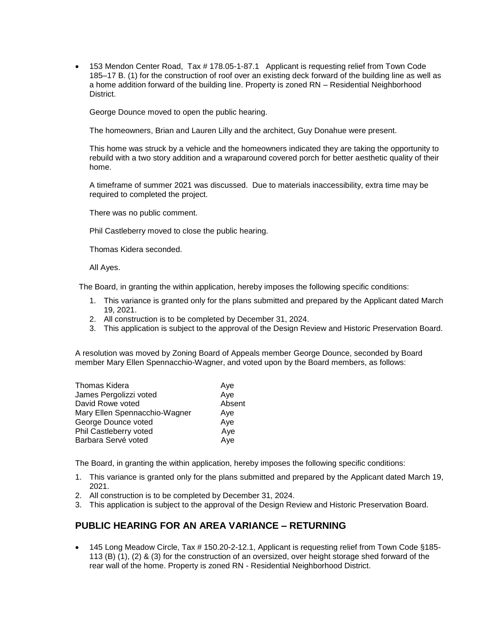153 Mendon Center Road, Tax # 178.05-1-87.1 Applicant is requesting relief from Town Code 185–17 B. (1) for the construction of roof over an existing deck forward of the building line as well as a home addition forward of the building line. Property is zoned RN – Residential Neighborhood District.

George Dounce moved to open the public hearing.

The homeowners, Brian and Lauren Lilly and the architect, Guy Donahue were present.

This home was struck by a vehicle and the homeowners indicated they are taking the opportunity to rebuild with a two story addition and a wraparound covered porch for better aesthetic quality of their home.

A timeframe of summer 2021 was discussed. Due to materials inaccessibility, extra time may be required to completed the project.

There was no public comment.

Phil Castleberry moved to close the public hearing.

Thomas Kidera seconded.

All Ayes.

The Board, in granting the within application, hereby imposes the following specific conditions:

- 1. This variance is granted only for the plans submitted and prepared by the Applicant dated March 19, 2021.
- 2. All construction is to be completed by December 31, 2024.
- 3. This application is subject to the approval of the Design Review and Historic Preservation Board.

A resolution was moved by Zoning Board of Appeals member George Dounce, seconded by Board member Mary Ellen Spennacchio-Wagner, and voted upon by the Board members, as follows:

| Thomas Kidera                 | Ave    |
|-------------------------------|--------|
| James Pergolizzi voted        | Aye    |
| David Rowe voted              | Absent |
| Mary Ellen Spennacchio-Wagner | Ave    |
| George Dounce voted           | Aye    |
| Phil Castleberry voted        | Aye    |
| Barbara Servé voted           | Aye    |
|                               |        |

The Board, in granting the within application, hereby imposes the following specific conditions:

- 1. This variance is granted only for the plans submitted and prepared by the Applicant dated March 19, 2021.
- 2. All construction is to be completed by December 31, 2024.
- 3. This application is subject to the approval of the Design Review and Historic Preservation Board.

## **PUBLIC HEARING FOR AN AREA VARIANCE – RETURNING**

 145 Long Meadow Circle, Tax # 150.20-2-12.1, Applicant is requesting relief from Town Code §185- 113 (B) (1), (2) & (3) for the construction of an oversized, over height storage shed forward of the rear wall of the home. Property is zoned RN - Residential Neighborhood District.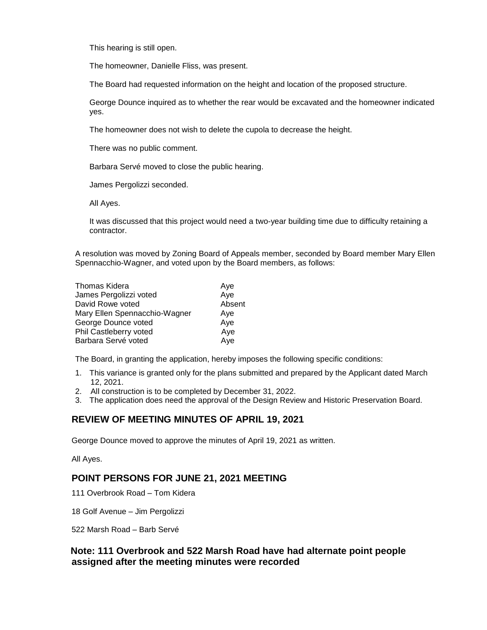This hearing is still open.

The homeowner, Danielle Fliss, was present.

The Board had requested information on the height and location of the proposed structure.

George Dounce inquired as to whether the rear would be excavated and the homeowner indicated yes.

The homeowner does not wish to delete the cupola to decrease the height.

There was no public comment.

Barbara Servé moved to close the public hearing.

James Pergolizzi seconded.

All Ayes.

It was discussed that this project would need a two-year building time due to difficulty retaining a contractor.

A resolution was moved by Zoning Board of Appeals member, seconded by Board member Mary Ellen Spennacchio-Wagner, and voted upon by the Board members, as follows:

| Thomas Kidera                 | Ave    |
|-------------------------------|--------|
| James Pergolizzi voted        | Aye    |
| David Rowe voted              | Absent |
| Mary Ellen Spennacchio-Wagner | Ave    |
| George Dounce voted           | Aye    |
| Phil Castleberry voted        | Aye    |
| Barbara Servé voted           | Aye    |

The Board, in granting the application, hereby imposes the following specific conditions:

- 1. This variance is granted only for the plans submitted and prepared by the Applicant dated March 12, 2021.
- 2. All construction is to be completed by December 31, 2022.
- 3. The application does need the approval of the Design Review and Historic Preservation Board.

## **REVIEW OF MEETING MINUTES OF APRIL 19, 2021**

George Dounce moved to approve the minutes of April 19, 2021 as written.

All Ayes.

## **POINT PERSONS FOR JUNE 21, 2021 MEETING**

111 Overbrook Road – Tom Kidera

18 Golf Avenue – Jim Pergolizzi

522 Marsh Road – Barb Servé

## **Note: 111 Overbrook and 522 Marsh Road have had alternate point people assigned after the meeting minutes were recorded**